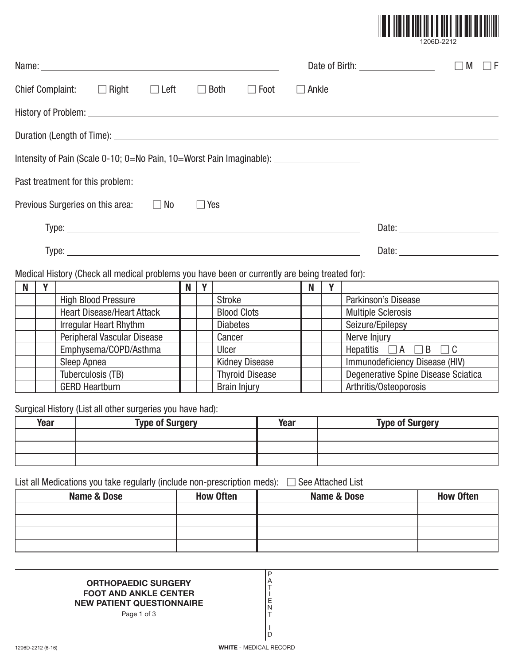

|  | 1206D-2212 |  |
|--|------------|--|
|--|------------|--|

|                                                                                                |                                   |  |        |                    |   |     |                     | $\Box$ M<br>$\sqsupset$ F |
|------------------------------------------------------------------------------------------------|-----------------------------------|--|--------|--------------------|---|-----|---------------------|---------------------------|
| Chief Complaint: $\Box$ Right $\Box$ Left $\Box$ Both $\Box$ Foot $\Box$ Ankle                 |                                   |  |        |                    |   |     |                     |                           |
|                                                                                                |                                   |  |        |                    |   |     |                     |                           |
|                                                                                                |                                   |  |        |                    |   |     |                     |                           |
| Intensity of Pain (Scale 0-10; 0=No Pain, 10=Worst Pain Imaginable): ___________________       |                                   |  |        |                    |   |     |                     |                           |
|                                                                                                |                                   |  |        |                    |   |     |                     |                           |
| Previous Surgeries on this area: $\Box$ No $\Box$ Yes                                          |                                   |  |        |                    |   |     |                     |                           |
|                                                                                                |                                   |  |        |                    |   |     |                     |                           |
|                                                                                                |                                   |  |        |                    |   |     |                     |                           |
| Medical History (Check all medical problems you have been or currently are being treated for): |                                   |  |        |                    |   |     |                     |                           |
| Y<br><b>N</b>                                                                                  |                                   |  | N<br>Y |                    | N | Y I |                     |                           |
|                                                                                                | <b>High Blood Pressure</b>        |  |        | Stroke             |   |     | Parkinson's Disease |                           |
|                                                                                                | <b>Heart Disease/Heart Attack</b> |  |        | <b>Blood Clots</b> |   |     | Multiple Sclerosis  |                           |
|                                                                                                | Irregular Heart Rhythm            |  |        | <b>Diabetes</b>    |   |     | Seizure/Epilepsy    |                           |
|                                                                                                | Peripheral Vascular Disease       |  |        | Cancer             |   |     | Nerve Injury        |                           |

| <b>Peripheral Vascular Disease</b> | Cancer                 | Nerve Injury                        |
|------------------------------------|------------------------|-------------------------------------|
| Emphysema/COPD/Asthma              | Ulcer                  | Hepatitis<br>$\Box$ B<br>IA         |
| Sleep Apnea                        | <b>Kidney Disease</b>  | Immunodeficiency Disease (HIV)      |
| Tuberculosis (TB)                  | <b>Thyroid Disease</b> | Degenerative Spine Disease Sciatica |
| <b>GERD Heartburn</b>              | <b>Brain Injury</b>    | Arthritis/Osteoporosis              |

Surgical History (List all other surgeries you have had):

| Year | <b>Type of Surgery</b> | Year | <b>Type of Surgery</b> |
|------|------------------------|------|------------------------|
|      |                        |      |                        |
|      |                        |      |                        |
|      |                        |      |                        |

List all Medications you take regularly (include non-prescription meds): - See Attached List

| <b>Name &amp; Dose</b> | <b>How Often</b> | Name & Dose | <b>How Often</b> |
|------------------------|------------------|-------------|------------------|
|                        |                  |             |                  |
|                        |                  |             |                  |
|                        |                  |             |                  |
|                        |                  |             |                  |

P A T I E N T I D

## **ORTHOPAEDIC SURGERY FOOT AND ANKLE CENTER NEW PATIENT QUESTIONNAIRE**

Page 1 of 3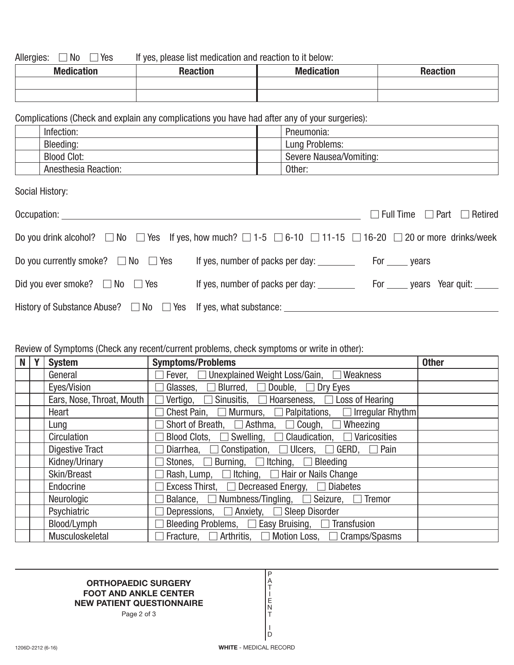Allergies:  $\Box$  No  $\Box$ If yes, please list medication and reaction to it below:

| <b>Medication</b> | <b>Reaction</b> | <b>Medication</b> | <b>Reaction</b> |
|-------------------|-----------------|-------------------|-----------------|
|                   |                 |                   |                 |
|                   |                 |                   |                 |

Complications (Check and explain any complications you have had after any of your surgeries):

| Infection: |                             | Pneumonia:              |
|------------|-----------------------------|-------------------------|
| Bleeding:  |                             | Lung Problems:          |
|            | <b>Blood Clot:</b>          | Severe Nausea/Vomiting: |
|            | <b>Anesthesia Reaction:</b> | Other:                  |

Social History:

| Occupation: _____________                                                                                                                   |                                  | $\Box$ Full Time $\Box$ Part $\Box$ Retired |
|---------------------------------------------------------------------------------------------------------------------------------------------|----------------------------------|---------------------------------------------|
| Do you drink alcohol? $\Box$ No $\Box$ Yes If yes, how much? $\Box$ 1-5 $\Box$ 6-10 $\Box$ 11-15 $\Box$ 16-20 $\Box$ 20 or more drinks/week |                                  |                                             |
| Do you currently smoke? $\Box$ No $\Box$ Yes                                                                                                |                                  |                                             |
| Did you ever smoke? $\Box$ No $\Box$ Yes                                                                                                    | If yes, number of packs per day: | For ______ years Year quit: ______          |
|                                                                                                                                             |                                  |                                             |

## Review of Symptoms (Check any recent/current problems, check symptoms or write in other):

| <b>N</b> | <b>System</b>             | <b>Symptoms/Problems</b>                                                    | <b>Other</b> |
|----------|---------------------------|-----------------------------------------------------------------------------|--------------|
|          | General                   | Fever, □ Unexplained Weight Loss/Gain, □ Weakness                           |              |
|          | Eyes/Vision               | Glasses, $\Box$ Blurred, $\Box$ Double, $\Box$ Dry Eyes                     |              |
|          | Ears, Nose, Throat, Mouth | $\Box$ Vertigo, $\Box$ Sinusitis, $\Box$ Hoarseness, $\Box$ Loss of Hearing |              |
|          | Heart                     | Chest Pain, $\Box$ Murmurs, $\Box$ Palpitations, $\Box$ Irregular Rhythm    |              |
|          | Lung                      | Short of Breath, $\Box$ Asthma, $\Box$ Cough, $\Box$ Wheezing               |              |
|          | Circulation               | Blood Clots, $\Box$ Swelling, $\Box$ Claudication, $\Box$ Varicosities      |              |
|          | <b>Digestive Tract</b>    | Diarrhea, $\Box$ Constipation, $\Box$ Ulcers, $\Box$ GERD, $\Box$ Pain      |              |
|          | Kidney/Urinary            | Stones, $\Box$ Burning, $\Box$ Itching, $\Box$ Bleeding                     |              |
|          | Skin/Breast               | Rash, Lump, $\Box$ Itching, $\Box$ Hair or Nails Change                     |              |
|          | Endocrine                 | Excess Thirst, $\Box$ Decreased Energy, $\Box$ Diabetes                     |              |
|          | Neurologic                | Balance, $\Box$ Numbness/Tingling, $\Box$ Seizure, $\Box$ Tremor            |              |
|          | Psychiatric               | Depressions, □ Anxiety, □ Sleep Disorder                                    |              |
|          | Blood/Lymph               | Bleeding Problems, $\Box$ Easy Bruising, $\Box$ Transfusion                 |              |
|          | Musculoskeletal           | Fracture, △ Arthritis, △ Motion Loss, △ Cramps/Spasms                       |              |

## **ORTHOPAEDIC SURGERY FOOT AND ANKLE CENTER NEW PATIENT QUESTIONNAIRE**

Page 2 of 3

P A T I E N T I D